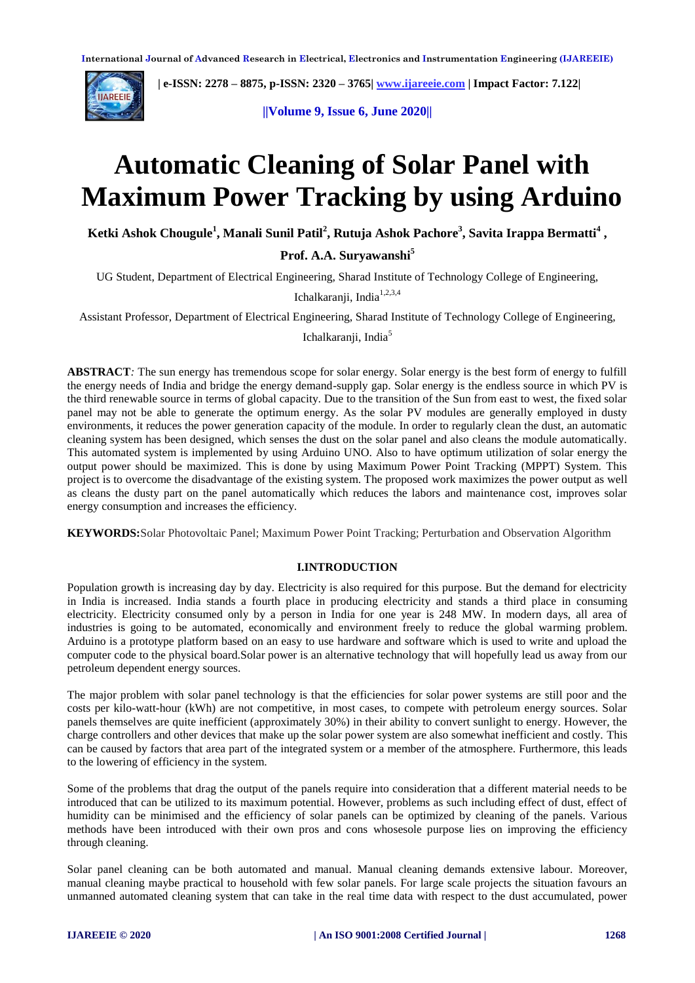

 **| e-ISSN: 2278 – 8875, p-ISSN: 2320 – 3765[| www.ijareeie.com](http://www.ijareeie.com/) | Impact Factor: 7.122|** 

**||Volume 9, Issue 6, June 2020||** 

# **Automatic Cleaning of Solar Panel with Maximum Power Tracking by using Arduino**

**Ketki Ashok Chougule<sup>1</sup> , Manali Sunil Patil<sup>2</sup> , Rutuja Ashok Pachore<sup>3</sup> , Savita Irappa Bermatti<sup>4</sup> ,** 

**Prof. A.A. Suryawanshi<sup>5</sup>**

UG Student, Department of Electrical Engineering, Sharad Institute of Technology College of Engineering,

Ichalkaranji, India $1,2,3,4$ 

Assistant Professor, Department of Electrical Engineering, Sharad Institute of Technology College of Engineering,

Ichalkaranji, India<sup>5</sup>

**ABSTRACT***:* The sun energy has tremendous scope for solar energy. Solar energy is the best form of energy to fulfill the energy needs of India and bridge the energy demand-supply gap. Solar energy is the endless source in which PV is the third renewable source in terms of global capacity. Due to the transition of the Sun from east to west, the fixed solar panel may not be able to generate the optimum energy. As the solar PV modules are generally employed in dusty environments, it reduces the power generation capacity of the module. In order to regularly clean the dust, an automatic cleaning system has been designed, which senses the dust on the solar panel and also cleans the module automatically. This automated system is implemented by using Arduino UNO. Also to have optimum utilization of solar energy the output power should be maximized. This is done by using Maximum Power Point Tracking (MPPT) System. This project is to overcome the disadvantage of the existing system. The proposed work maximizes the power output as well as cleans the dusty part on the panel automatically which reduces the labors and maintenance cost, improves solar energy consumption and increases the efficiency.

**KEYWORDS:**Solar Photovoltaic Panel; Maximum Power Point Tracking; Perturbation and Observation Algorithm

#### **I.INTRODUCTION**

Population growth is increasing day by day. Electricity is also required for this purpose. But the demand for electricity in India is increased. India stands a fourth place in producing electricity and stands a third place in consuming electricity. Electricity consumed only by a person in India for one year is 248 MW. In modern days, all area of industries is going to be automated, economically and environment freely to reduce the global warming problem. Arduino is a prototype platform based on an easy to use hardware and software which is used to write and upload the computer code to the physical board.Solar power is an alternative technology that will hopefully lead us away from our petroleum dependent energy sources.

The major problem with solar panel technology is that the efficiencies for solar power systems are still poor and the costs per kilo-watt-hour (kWh) are not competitive, in most cases, to compete with petroleum energy sources. Solar panels themselves are quite inefficient (approximately 30%) in their ability to convert sunlight to energy. However, the charge controllers and other devices that make up the solar power system are also somewhat inefficient and costly. This can be caused by factors that area part of the integrated system or a member of the atmosphere. Furthermore, this leads to the lowering of efficiency in the system.

Some of the problems that drag the output of the panels require into consideration that a different material needs to be introduced that can be utilized to its maximum potential. However, problems as such including effect of dust, effect of humidity can be minimised and the efficiency of solar panels can be optimized by cleaning of the panels. Various methods have been introduced with their own pros and cons whosesole purpose lies on improving the efficiency through cleaning.

Solar panel cleaning can be both automated and manual. Manual cleaning demands extensive labour. Moreover, manual cleaning maybe practical to household with few solar panels. For large scale projects the situation favours an unmanned automated cleaning system that can take in the real time data with respect to the dust accumulated, power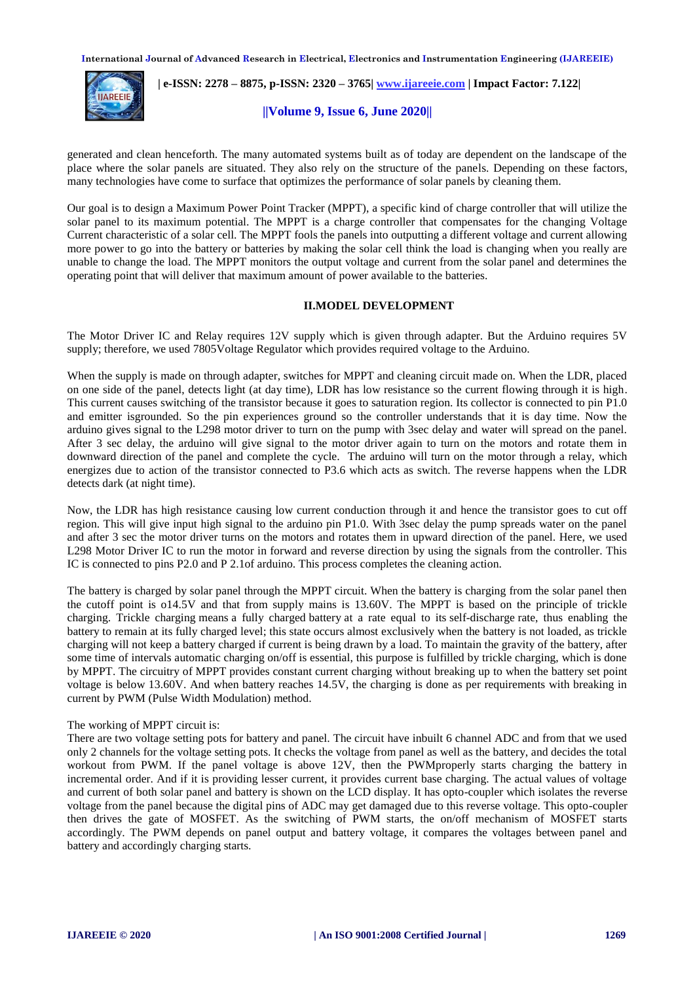

 **| e-ISSN: 2278 – 8875, p-ISSN: 2320 – 3765[| www.ijareeie.com](http://www.ijareeie.com/) | Impact Factor: 7.122|** 

**||Volume 9, Issue 6, June 2020||** 

generated and clean henceforth. The many automated systems built as of today are dependent on the landscape of the place where the solar panels are situated. They also rely on the structure of the panels. Depending on these factors, many technologies have come to surface that optimizes the performance of solar panels by cleaning them.

Our goal is to design a Maximum Power Point Tracker (MPPT), a specific kind of charge controller that will utilize the solar panel to its maximum potential. The MPPT is a charge controller that compensates for the changing Voltage Current characteristic of a solar cell. The MPPT fools the panels into outputting a different voltage and current allowing more power to go into the battery or batteries by making the solar cell think the load is changing when you really are unable to change the load. The MPPT monitors the output voltage and current from the solar panel and determines the operating point that will deliver that maximum amount of power available to the batteries.

### **II.MODEL DEVELOPMENT**

The Motor Driver IC and Relay requires 12V supply which is given through adapter. But the Arduino requires 5V supply; therefore, we used 7805Voltage Regulator which provides required voltage to the Arduino.

When the supply is made on through adapter, switches for MPPT and cleaning circuit made on. When the LDR, placed on one side of the panel, detects light (at day time), LDR has low resistance so the current flowing through it is high. This current causes switching of the transistor because it goes to saturation region. Its collector is connected to pin P1.0 and emitter isgrounded. So the pin experiences ground so the controller understands that it is day time. Now the arduino gives signal to the L298 motor driver to turn on the pump with 3sec delay and water will spread on the panel. After 3 sec delay, the arduino will give signal to the motor driver again to turn on the motors and rotate them in downward direction of the panel and complete the cycle. The arduino will turn on the motor through a relay, which energizes due to action of the transistor connected to P3.6 which acts as switch. The reverse happens when the LDR detects dark (at night time).

Now, the LDR has high resistance causing low current conduction through it and hence the transistor goes to cut off region. This will give input high signal to the arduino pin P1.0. With 3sec delay the pump spreads water on the panel and after 3 sec the motor driver turns on the motors and rotates them in upward direction of the panel. Here, we used L298 Motor Driver IC to run the motor in forward and reverse direction by using the signals from the controller. This IC is connected to pins P2.0 and P 2.1of arduino. This process completes the cleaning action.

The battery is charged by solar panel through the MPPT circuit. When the battery is charging from the solar panel then the cutoff point is o14.5V and that from supply mains is 13.60V. The MPPT is based on the principle of trickle charging. Trickle charging means a fully charged battery at a rate equal to its self-discharge rate, thus enabling the battery to remain at its fully charged level; this state occurs almost exclusively when the battery is not loaded, as trickle charging will not keep a battery charged if current is being drawn by a load. To maintain the gravity of the battery, after some time of intervals automatic charging on/off is essential, this purpose is fulfilled by trickle charging, which is done by MPPT. The circuitry of MPPT provides constant current charging without breaking up to when the battery set point voltage is below 13.60V. And when battery reaches 14.5V, the charging is done as per requirements with breaking in current by PWM (Pulse Width Modulation) method.

#### The working of MPPT circuit is:

There are two voltage setting pots for battery and panel. The circuit have inbuilt 6 channel ADC and from that we used only 2 channels for the voltage setting pots. It checks the voltage from panel as well as the battery, and decides the total workout from PWM. If the panel voltage is above 12V, then the PWMproperly starts charging the battery in incremental order. And if it is providing lesser current, it provides current base charging. The actual values of voltage and current of both solar panel and battery is shown on the LCD display. It has opto-coupler which isolates the reverse voltage from the panel because the digital pins of ADC may get damaged due to this reverse voltage. This opto-coupler then drives the gate of MOSFET. As the switching of PWM starts, the on/off mechanism of MOSFET starts accordingly. The PWM depends on panel output and battery voltage, it compares the voltages between panel and battery and accordingly charging starts.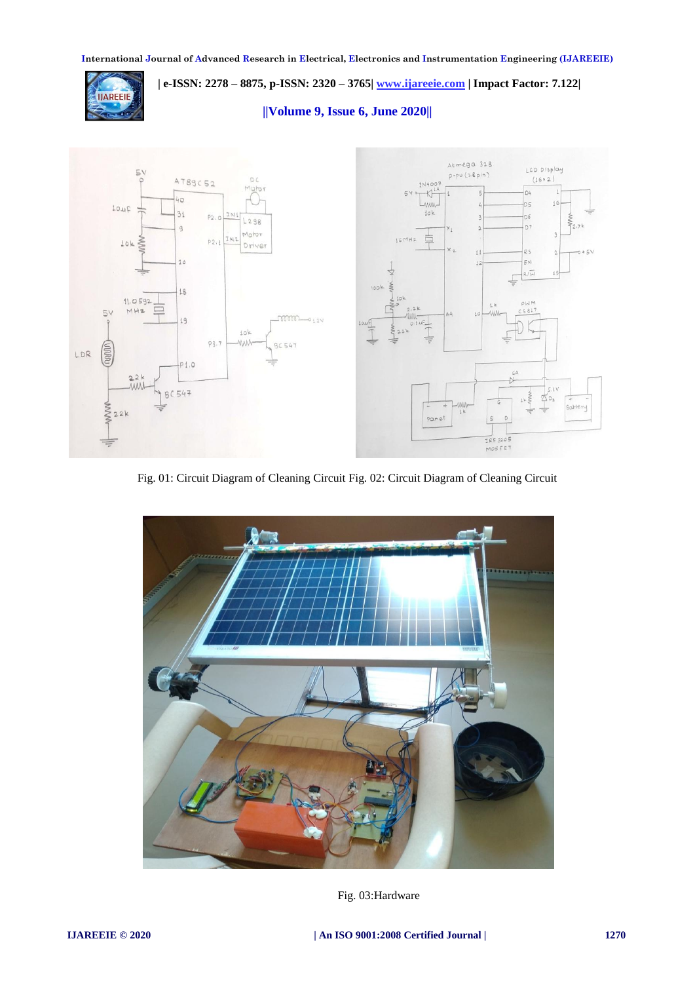

 **| e-ISSN: 2278 – 8875, p-ISSN: 2320 – 3765[| www.ijareeie.com](http://www.ijareeie.com/) | Impact Factor: 7.122|** 

**||Volume 9, Issue 6, June 2020||** 



Fig. 01: Circuit Diagram of Cleaning Circuit Fig. 02: Circuit Diagram of Cleaning Circuit



Fig. 03:Hardware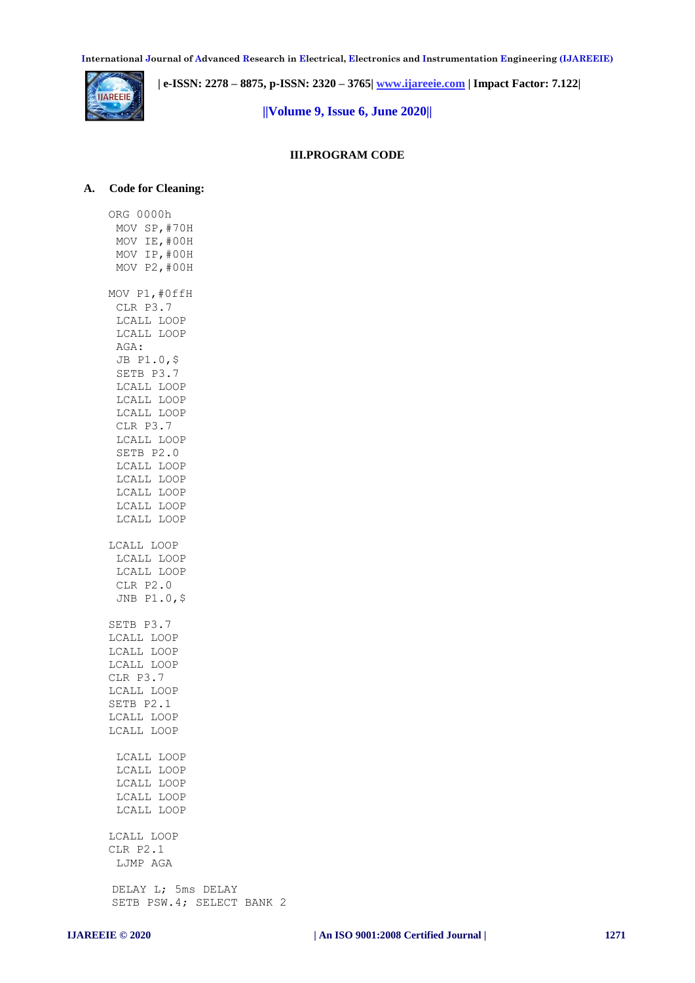

 **| e-ISSN: 2278 – 8875, p-ISSN: 2320 – 3765[| www.ijareeie.com](http://www.ijareeie.com/) | Impact Factor: 7.122|** 

**||Volume 9, Issue 6, June 2020||** 

## **III.PROGRAM CODE**

#### **A. Code for Cleaning:**

ORG 0000h MOV SP,#70H MOV IE,#00H MOV IP,#00H MOV P2,#00H MOV P1,#0ffH CLR P3.7 LCALL LOOP LCALL LOOP AGA: JB P1.0,\$ SETB P3.7 LCALL LOOP LCALL LOOP LCALL LOOP CLR P3.7 LCALL LOOP SETB P2.0 LCALL LOOP LCALL LOOP LCALL LOOP LCALL LOOP LCALL LOOP LCALL LOOP LCALL LOOP LCALL LOOP CLR P2.0 JNB P1.0,\$ SETB P3.7 LCALL LOOP LCALL LOOP LCALL LOOP CLR P3.7 LCALL LOOP SETB P2.1 LCALL LOOP LCALL LOOP LCALL LOOP LCALL LOOP LCALL LOOP LCALL LOOP LCALL LOOP LCALL LOOP CLR P2.1 LJMP AGA DELAY L; 5ms DELAY SETB PSW.4; SELECT BANK 2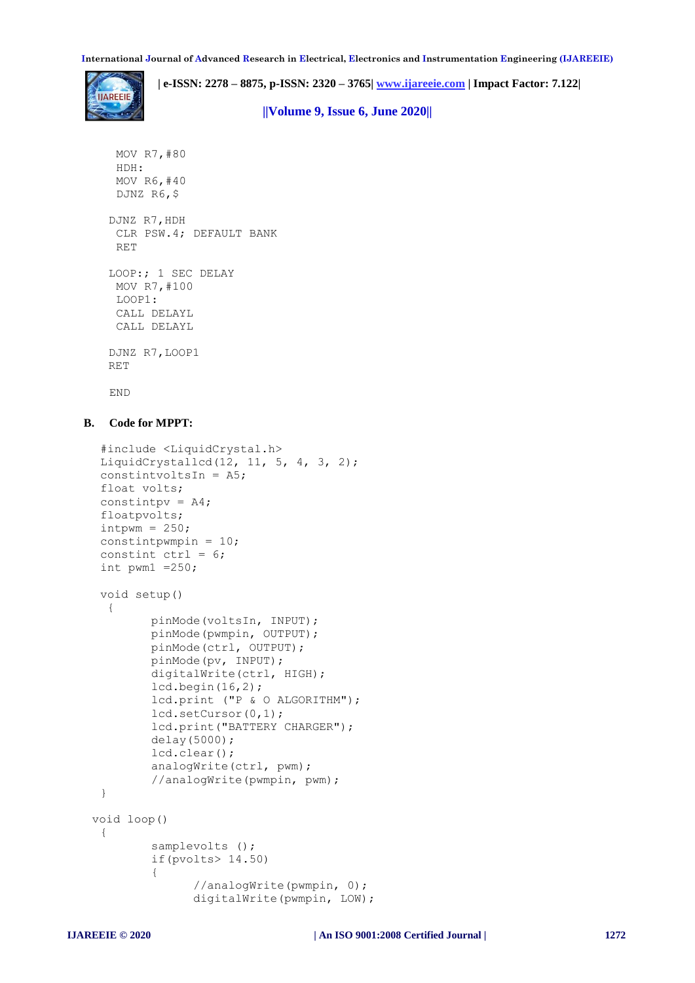**| e-ISSN: 2278 – 8875, p-ISSN: 2320 – 3765[| www.ijareeie.com](http://www.ijareeie.com/) | Impact Factor: 7.122|** 

**||Volume 9, Issue 6, June 2020||** 

```
MOV R7,#80
 HDH:
 MOV R6,#40
 DJNZ R6,$
DJNZ R7,HDH
 CLR PSW.4; DEFAULT BANK 
 RET
LOOP:; 1 SEC DELAY
 MOV R7,#100
LOOP1:
 CALL DELAYL
 CALL DELAYL
DJNZ R7,LOOP1
RET
```
END

#### **B. Code for MPPT:**

```
#include <LiquidCrystal.h>
 LiquidCrystallcd(12, 11, 5, 4, 3, 2);
 constintvoltsIn = A5;
 float volts;
 constintpv = A4;
 floatpvolts;
 intpwm = 250;constintpwmpin = 10;
 constint ctrl = 6;
 int pwm1 =250;
 void setup()
  {
        pinMode(voltsIn, INPUT); 
        pinMode(pwmpin, OUTPUT);
        pinMode(ctrl, OUTPUT);
        pinMode(pv, INPUT); 
        digitalWrite(ctrl, HIGH);
        lcd.begin(16, 2);
        lcd.print ("P & O ALGORITHM");
        lcd.setCursor(0,1);
        lcd.print("BATTERY CHARGER");
        delay(5000);
        lcd.clear();
        analogWrite(ctrl, pwm); 
        //analogWrite(pwmpin, pwm); 
 }
void loop()
 { 
        samplevolts ();
        if(pvolts> 14.50) 
         {
               //analogWrite(pwmpin, 0);
               digitalWrite(pwmpin, LOW);
```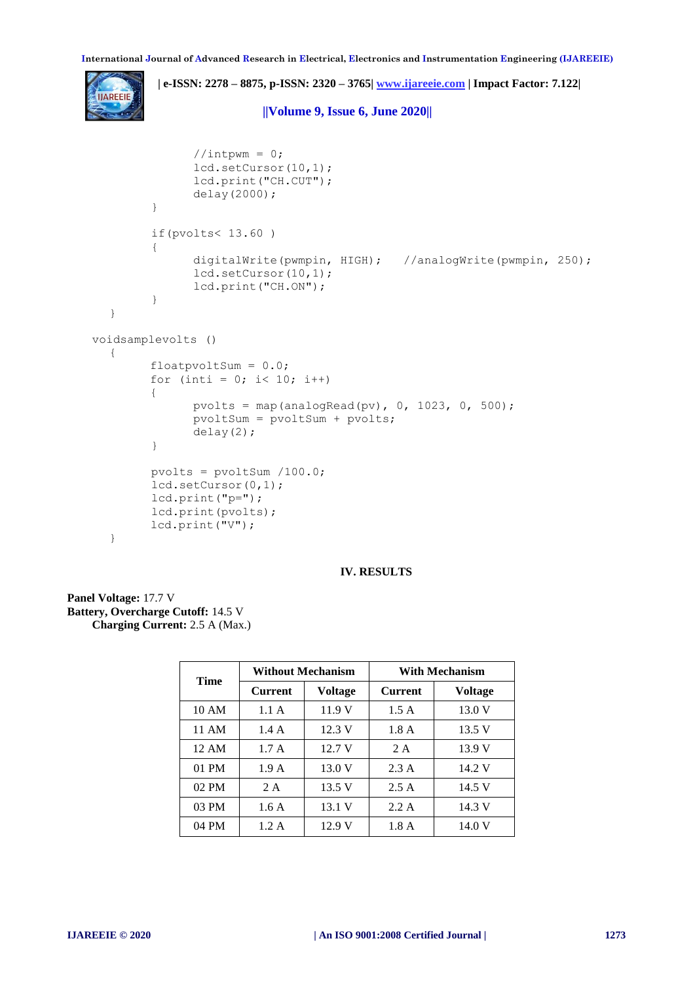**| e-ISSN: 2278 – 8875, p-ISSN: 2320 – 3765[| www.ijareeie.com](http://www.ijareeie.com/) | Impact Factor: 7.122|** 

**||Volume 9, Issue 6, June 2020||** 

```
//int_{\text{w}} = 0;
               lcd.setCursor(10,1);
               lcd.print("CH.CUT");
               delay(2000);
         }
        if(pvolts< 13.60 ) 
         { 
               digitalWrite(pwmpin, HIGH); //analogWrite(pwmpin, 250);
               lcd.setCursor(10,1); 
               lcd.print("CH.ON"); 
         }
  }
voidsamplevolts ()
  {
        floatpvoltSum = 0.0;
        for (inti = 0; i< 10; i++)
        {
               pvolts = map(analogRead(pv), 0, 1023, 0, 500);pvoltSum = pvoltSum + pvolts;
               delay(2);
         }
        pvolts = pvoltSum /100.0; 
        lcd.setCursor(0,1);
        lcd.print("p="); 
        lcd.print(pvolts);
        lcd.print("V"); 
  }
```
**IV. RESULTS**

**Panel Voltage:** 17.7 V **Battery, Overcharge Cutoff:** 14.5 V **Charging Current:** 2.5 A (Max.)

| Time  | <b>Without Mechanism</b> |                | <b>With Mechanism</b> |                |
|-------|--------------------------|----------------|-----------------------|----------------|
|       | <b>Current</b>           | <b>Voltage</b> | <b>Current</b>        | <b>Voltage</b> |
| 10 AM | 1.1A                     | 11.9 V         | 1.5A                  | 13.0 V         |
| 11 AM | 1.4A                     | 12.3 V         | 1.8A                  | 13.5 V         |
| 12 AM | 1.7A                     | 12.7 V         | 2 A                   | 13.9 V         |
| 01 PM | 1.9A                     | 13.0 V         | 2.3A                  | 14.2 V         |
| 02 PM | 2 A                      | 13.5 V         | 2.5A                  | 14.5 V         |
| 03 PM | 1.6A                     | 13.1 V         | 2.2A                  | 14.3 V         |
| 04 PM | 1.2 A                    | 12.9 V         | 1.8A                  | 14.0 V         |